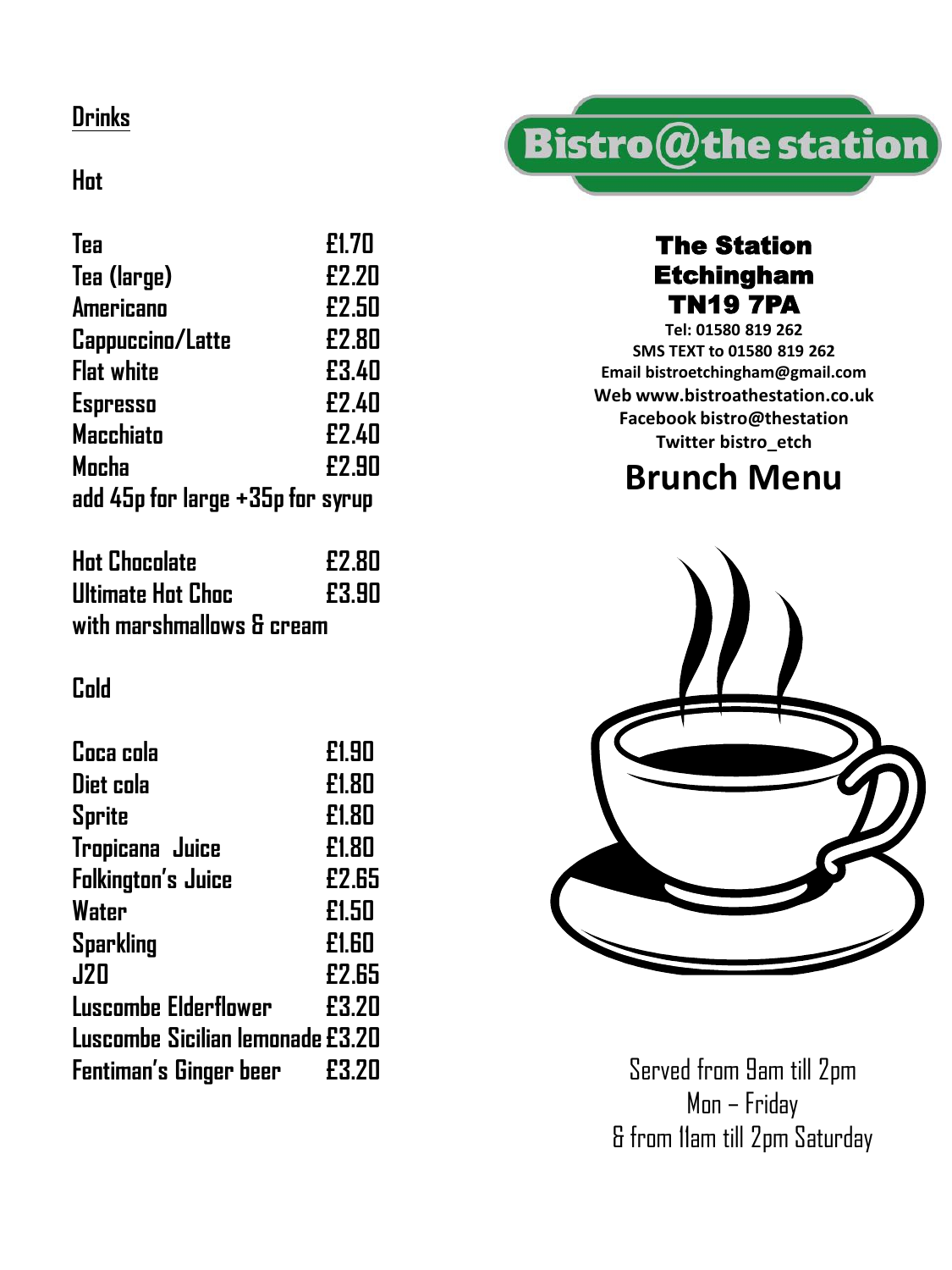# **Drinks**

## **Hot**

| Tea                              | £1.70 |
|----------------------------------|-------|
| Tea (large)                      | £2.20 |
| <b>Americano</b>                 | £2.50 |
| Cappuccino/Latte                 | £2.80 |
| <b>Flat white</b>                | £3.40 |
| <b>Espresso</b>                  | £2.40 |
| <b>Macchiato</b>                 | £2.40 |
| Mocha                            | £2.90 |
| add 45p for large +35p for syrup |       |

| <b>Hot Chocolate</b>      | £2.80 |
|---------------------------|-------|
| Ultimate Hot Choc         | £3.90 |
| with marshmallows & cream |       |

#### **Cold**

| Coca cola                        | £1.90 |
|----------------------------------|-------|
| Diet cola                        | £1.80 |
| <b>Sprite</b>                    | £1.80 |
| Tropicana Juice                  | £1.80 |
| <b>Folkington's Juice</b>        | £2.65 |
| Water                            | £1.50 |
| <b>Sparkling</b>                 | £1.60 |
| <b>J20</b>                       | £2.65 |
| <b>Luscombe Elderflower</b>      | £3.20 |
| Luscombe Sicilian lemonade £3.20 |       |
| Fentiman's Ginger beer           | £3.20 |



## The Station Etchingham TN19 7PA

**Tel: 01580 819 262 SMS TEXT to 01580 819 262 Email bistroetchingham@gmail.com Web www.bistroathestation.co.uk Facebook bistro@thestation Twitter bistro\_etch**

# **Brunch Menu**



Served from 9am till 2pm Mon – Friday & from 11am till 2pm Saturday